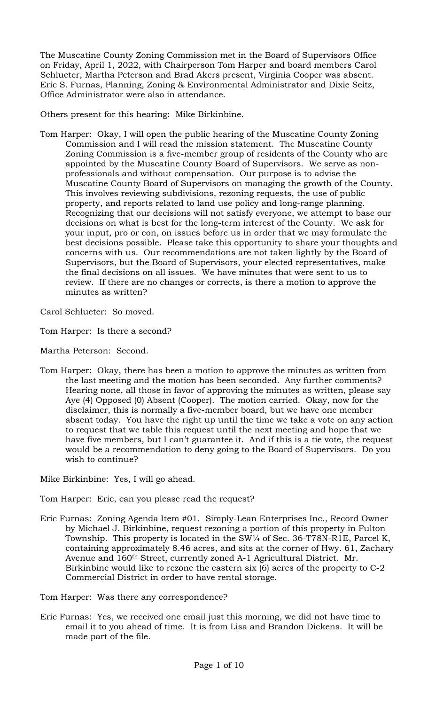The Muscatine County Zoning Commission met in the Board of Supervisors Office on Friday, April 1, 2022, with Chairperson Tom Harper and board members Carol Schlueter, Martha Peterson and Brad Akers present, Virginia Cooper was absent. Eric S. Furnas, Planning, Zoning & Environmental Administrator and Dixie Seitz, Office Administrator were also in attendance.

Others present for this hearing: Mike Birkinbine.

Tom Harper: Okay, I will open the public hearing of the Muscatine County Zoning Commission and I will read the mission statement. The Muscatine County Zoning Commission is a five-member group of residents of the County who are appointed by the Muscatine County Board of Supervisors. We serve as nonprofessionals and without compensation. Our purpose is to advise the Muscatine County Board of Supervisors on managing the growth of the County. This involves reviewing subdivisions, rezoning requests, the use of public property, and reports related to land use policy and long-range planning. Recognizing that our decisions will not satisfy everyone, we attempt to base our decisions on what is best for the long-term interest of the County. We ask for your input, pro or con, on issues before us in order that we may formulate the best decisions possible. Please take this opportunity to share your thoughts and concerns with us. Our recommendations are not taken lightly by the Board of Supervisors, but the Board of Supervisors, your elected representatives, make the final decisions on all issues. We have minutes that were sent to us to review. If there are no changes or corrects, is there a motion to approve the minutes as written?

Carol Schlueter: So moved.

Tom Harper: Is there a second?

Martha Peterson: Second.

Tom Harper: Okay, there has been a motion to approve the minutes as written from the last meeting and the motion has been seconded. Any further comments? Hearing none, all those in favor of approving the minutes as written, please say Aye (4) Opposed (0) Absent (Cooper). The motion carried. Okay, now for the disclaimer, this is normally a five-member board, but we have one member absent today. You have the right up until the time we take a vote on any action to request that we table this request until the next meeting and hope that we have five members, but I can't guarantee it. And if this is a tie vote, the request would be a recommendation to deny going to the Board of Supervisors. Do you wish to continue?

Mike Birkinbine: Yes, I will go ahead.

Tom Harper: Eric, can you please read the request?

Eric Furnas: Zoning Agenda Item #01. Simply-Lean Enterprises Inc., Record Owner by Michael J. Birkinbine, request rezoning a portion of this property in Fulton Township. This property is located in the SW¼ of Sec. 36-T78N-R1E, Parcel K, containing approximately 8.46 acres, and sits at the corner of Hwy. 61, Zachary Avenue and 160th Street, currently zoned A-1 Agricultural District. Mr. Birkinbine would like to rezone the eastern six (6) acres of the property to C-2 Commercial District in order to have rental storage.

Tom Harper: Was there any correspondence?

Eric Furnas: Yes, we received one email just this morning, we did not have time to email it to you ahead of time. It is from Lisa and Brandon Dickens. It will be made part of the file.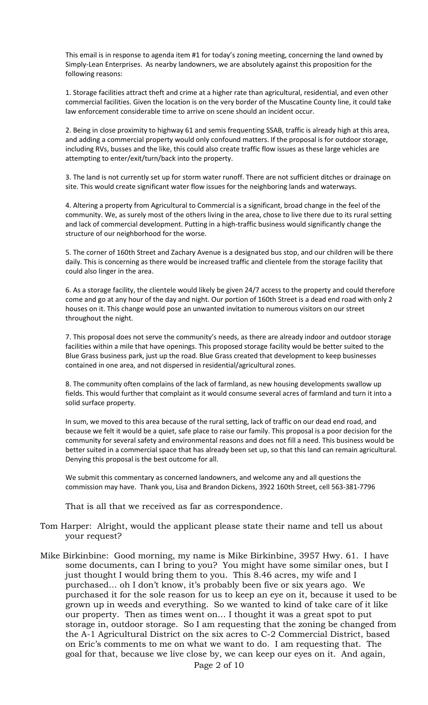This email is in response to agenda item #1 for today's zoning meeting, concerning the land owned by Simply-Lean Enterprises. As nearby landowners, we are absolutely against this proposition for the following reasons:

1. Storage facilities attract theft and crime at a higher rate than agricultural, residential, and even other commercial facilities. Given the location is on the very border of the Muscatine County line, it could take law enforcement considerable time to arrive on scene should an incident occur.

2. Being in close proximity to highway 61 and semis frequenting SSAB, traffic is already high at this area, and adding a commercial property would only confound matters. If the proposal is for outdoor storage, including RVs, busses and the like, this could also create traffic flow issues as these large vehicles are attempting to enter/exit/turn/back into the property.

3. The land is not currently set up for storm water runoff. There are not sufficient ditches or drainage on site. This would create significant water flow issues for the neighboring lands and waterways.

4. Altering a property from Agricultural to Commercial is a significant, broad change in the feel of the community. We, as surely most of the others living in the area, chose to live there due to its rural setting and lack of commercial development. Putting in a high-traffic business would significantly change the structure of our neighborhood for the worse.

5. The corner of 160th Street and Zachary Avenue is a designated bus stop, and our children will be there daily. This is concerning as there would be increased traffic and clientele from the storage facility that could also linger in the area.

6. As a storage facility, the clientele would likely be given 24/7 access to the property and could therefore come and go at any hour of the day and night. Our portion of 160th Street is a dead end road with only 2 houses on it. This change would pose an unwanted invitation to numerous visitors on our street throughout the night.

7. This proposal does not serve the community's needs, as there are already indoor and outdoor storage facilities within a mile that have openings. This proposed storage facility would be better suited to the Blue Grass business park, just up the road. Blue Grass created that development to keep businesses contained in one area, and not dispersed in residential/agricultural zones.

8. The community often complains of the lack of farmland, as new housing developments swallow up fields. This would further that complaint as it would consume several acres of farmland and turn it into a solid surface property.

In sum, we moved to this area because of the rural setting, lack of traffic on our dead end road, and because we felt it would be a quiet, safe place to raise our family. This proposal is a poor decision for the community for several safety and environmental reasons and does not fill a need. This business would be better suited in a commercial space that has already been set up, so that this land can remain agricultural. Denying this proposal is the best outcome for all.

We submit this commentary as concerned landowners, and welcome any and all questions the commission may have. Thank you, Lisa and Brandon Dickens, 3922 160th Street, cell 563-381-7796

That is all that we received as far as correspondence.

- Tom Harper: Alright, would the applicant please state their name and tell us about your request?
- Mike Birkinbine: Good morning, my name is Mike Birkinbine, 3957 Hwy. 61. I have some documents, can I bring to you? You might have some similar ones, but I just thought I would bring them to you. This 8.46 acres, my wife and I purchased… oh I don't know, it's probably been five or six years ago. We purchased it for the sole reason for us to keep an eye on it, because it used to be grown up in weeds and everything. So we wanted to kind of take care of it like our property. Then as times went on… I thought it was a great spot to put storage in, outdoor storage. So I am requesting that the zoning be changed from the A-1 Agricultural District on the six acres to C-2 Commercial District, based on Eric's comments to me on what we want to do. I am requesting that. The goal for that, because we live close by, we can keep our eyes on it. And again,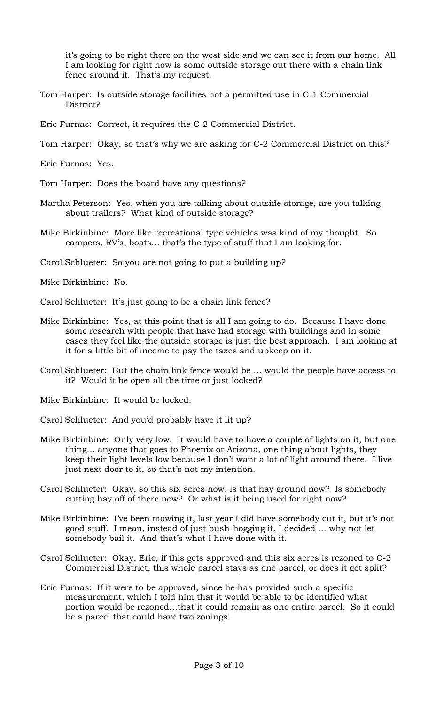it's going to be right there on the west side and we can see it from our home. All I am looking for right now is some outside storage out there with a chain link fence around it. That's my request.

- Tom Harper: Is outside storage facilities not a permitted use in C-1 Commercial District?
- Eric Furnas: Correct, it requires the C-2 Commercial District.
- Tom Harper: Okay, so that's why we are asking for C-2 Commercial District on this?
- Eric Furnas: Yes.
- Tom Harper: Does the board have any questions?
- Martha Peterson: Yes, when you are talking about outside storage, are you talking about trailers? What kind of outside storage?
- Mike Birkinbine: More like recreational type vehicles was kind of my thought. So campers, RV's, boats… that's the type of stuff that I am looking for.
- Carol Schlueter: So you are not going to put a building up?
- Mike Birkinbine: No.
- Carol Schlueter: It's just going to be a chain link fence?
- Mike Birkinbine: Yes, at this point that is all I am going to do. Because I have done some research with people that have had storage with buildings and in some cases they feel like the outside storage is just the best approach. I am looking at it for a little bit of income to pay the taxes and upkeep on it.
- Carol Schlueter: But the chain link fence would be … would the people have access to it? Would it be open all the time or just locked?
- Mike Birkinbine: It would be locked.
- Carol Schlueter: And you'd probably have it lit up?
- Mike Birkinbine: Only very low. It would have to have a couple of lights on it, but one thing… anyone that goes to Phoenix or Arizona, one thing about lights, they keep their light levels low because I don't want a lot of light around there. I live just next door to it, so that's not my intention.
- Carol Schlueter: Okay, so this six acres now, is that hay ground now? Is somebody cutting hay off of there now? Or what is it being used for right now?
- Mike Birkinbine: I've been mowing it, last year I did have somebody cut it, but it's not good stuff. I mean, instead of just bush-hogging it, I decided … why not let somebody bail it. And that's what I have done with it.
- Carol Schlueter: Okay, Eric, if this gets approved and this six acres is rezoned to C-2 Commercial District, this whole parcel stays as one parcel, or does it get split?
- Eric Furnas: If it were to be approved, since he has provided such a specific measurement, which I told him that it would be able to be identified what portion would be rezoned…that it could remain as one entire parcel. So it could be a parcel that could have two zonings.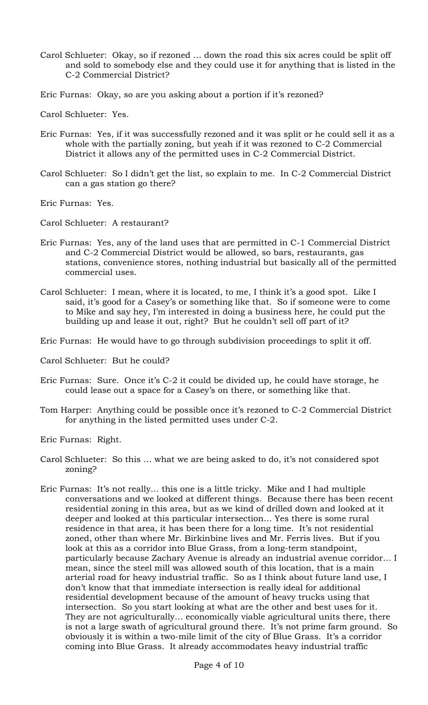- Carol Schlueter: Okay, so if rezoned … down the road this six acres could be split off and sold to somebody else and they could use it for anything that is listed in the C-2 Commercial District?
- Eric Furnas: Okay, so are you asking about a portion if it's rezoned?

Carol Schlueter: Yes.

- Eric Furnas: Yes, if it was successfully rezoned and it was split or he could sell it as a whole with the partially zoning, but yeah if it was rezoned to C-2 Commercial District it allows any of the permitted uses in C-2 Commercial District.
- Carol Schlueter: So I didn't get the list, so explain to me. In C-2 Commercial District can a gas station go there?

Eric Furnas: Yes.

Carol Schlueter: A restaurant?

- Eric Furnas: Yes, any of the land uses that are permitted in C-1 Commercial District and C-2 Commercial District would be allowed, so bars, restaurants, gas stations, convenience stores, nothing industrial but basically all of the permitted commercial uses.
- Carol Schlueter: I mean, where it is located, to me, I think it's a good spot. Like I said, it's good for a Casey's or something like that. So if someone were to come to Mike and say hey, I'm interested in doing a business here, he could put the building up and lease it out, right? But he couldn't sell off part of it?

Eric Furnas: He would have to go through subdivision proceedings to split it off.

Carol Schlueter: But he could?

- Eric Furnas: Sure. Once it's C-2 it could be divided up, he could have storage, he could lease out a space for a Casey's on there, or something like that.
- Tom Harper: Anything could be possible once it's rezoned to C-2 Commercial District for anything in the listed permitted uses under C-2.
- Eric Furnas: Right.
- Carol Schlueter: So this … what we are being asked to do, it's not considered spot zoning?
- Eric Furnas: It's not really… this one is a little tricky. Mike and I had multiple conversations and we looked at different things. Because there has been recent residential zoning in this area, but as we kind of drilled down and looked at it deeper and looked at this particular intersection… Yes there is some rural residence in that area, it has been there for a long time. It's not residential zoned, other than where Mr. Birkinbine lives and Mr. Ferris lives. But if you look at this as a corridor into Blue Grass, from a long-term standpoint, particularly because Zachary Avenue is already an industrial avenue corridor… I mean, since the steel mill was allowed south of this location, that is a main arterial road for heavy industrial traffic. So as I think about future land use, I don't know that that immediate intersection is really ideal for additional residential development because of the amount of heavy trucks using that intersection. So you start looking at what are the other and best uses for it. They are not agriculturally… economically viable agricultural units there, there is not a large swath of agricultural ground there. It's not prime farm ground. So obviously it is within a two-mile limit of the city of Blue Grass. It's a corridor coming into Blue Grass. It already accommodates heavy industrial traffic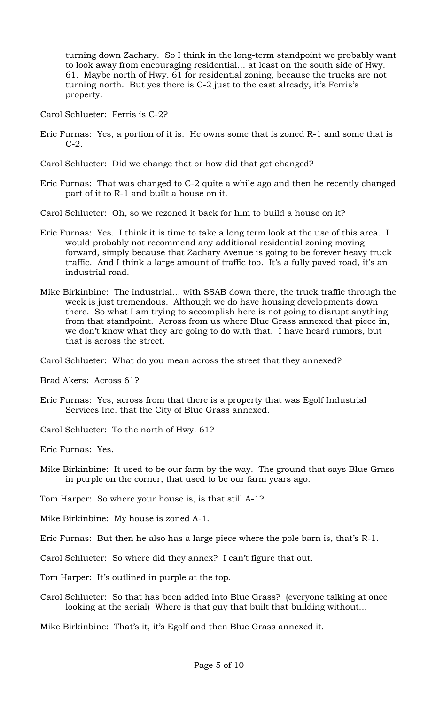turning down Zachary. So I think in the long-term standpoint we probably want to look away from encouraging residential… at least on the south side of Hwy. 61. Maybe north of Hwy. 61 for residential zoning, because the trucks are not turning north. But yes there is C-2 just to the east already, it's Ferris's property.

- Carol Schlueter: Ferris is C-2?
- Eric Furnas: Yes, a portion of it is. He owns some that is zoned R-1 and some that is C-2.

Carol Schlueter: Did we change that or how did that get changed?

Eric Furnas: That was changed to C-2 quite a while ago and then he recently changed part of it to R-1 and built a house on it.

Carol Schlueter: Oh, so we rezoned it back for him to build a house on it?

- Eric Furnas: Yes. I think it is time to take a long term look at the use of this area. I would probably not recommend any additional residential zoning moving forward, simply because that Zachary Avenue is going to be forever heavy truck traffic. And I think a large amount of traffic too. It's a fully paved road, it's an industrial road.
- Mike Birkinbine: The industrial… with SSAB down there, the truck traffic through the week is just tremendous. Although we do have housing developments down there. So what I am trying to accomplish here is not going to disrupt anything from that standpoint. Across from us where Blue Grass annexed that piece in, we don't know what they are going to do with that. I have heard rumors, but that is across the street.

Carol Schlueter: What do you mean across the street that they annexed?

Brad Akers: Across 61?

- Eric Furnas: Yes, across from that there is a property that was Egolf Industrial Services Inc. that the City of Blue Grass annexed.
- Carol Schlueter: To the north of Hwy. 61?

Eric Furnas: Yes.

- Mike Birkinbine: It used to be our farm by the way. The ground that says Blue Grass in purple on the corner, that used to be our farm years ago.
- Tom Harper: So where your house is, is that still A-1?
- Mike Birkinbine: My house is zoned A-1.
- Eric Furnas: But then he also has a large piece where the pole barn is, that's R-1.
- Carol Schlueter: So where did they annex? I can't figure that out.
- Tom Harper: It's outlined in purple at the top.
- Carol Schlueter: So that has been added into Blue Grass? (everyone talking at once looking at the aerial) Where is that guy that built that building without…

Mike Birkinbine: That's it, it's Egolf and then Blue Grass annexed it.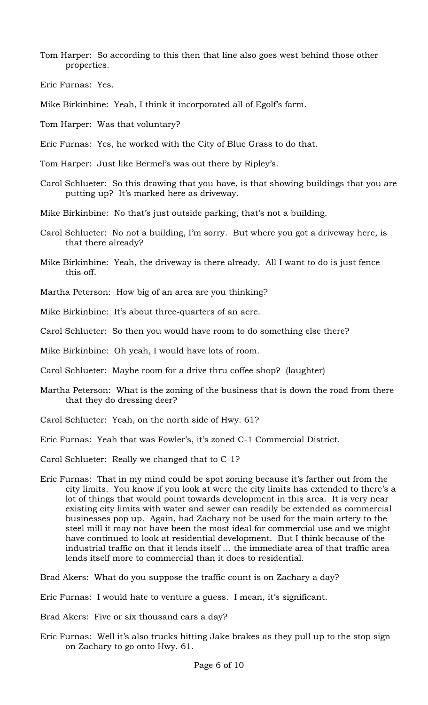Tom Harper: So according to this then that line also goes west behind those other properties.

Eric Furnas: Yes.

- Mike Birkinbine: Yeah, I think it incorporated all of Egolf's farm.
- Tom Harper: Was that voluntary?
- Eric Furnas: Yes, he worked with the City of Blue Grass to do that.
- Tom Harper: Just like Bermel's was out there by Ripley's.
- Carol Schlueter: So this drawing that you have, is that showing buildings that you are putting up? It's marked here as driveway.
- Mike Birkinbine: No that's just outside parking, that's not a building.
- Carol Schlueter: No not a building, I'm sorry. But where you got a driveway here, is that there already?
- Mike Birkinbine: Yeah, the driveway is there already. All I want to do is just fence this off.
- Martha Peterson: How big of an area are you thinking?
- Mike Birkinbine: It's about three-quarters of an acre.
- Carol Schlueter: So then you would have room to do something else there?
- Mike Birkinbine: Oh yeah, I would have lots of room.
- Carol Schlueter: Maybe room for a drive thru coffee shop? (laughter)
- Martha Peterson: What is the zoning of the business that is down the road from there that they do dressing deer?
- Carol Schlueter: Yeah, on the north side of Hwy. 61?
- Eric Furnas: Yeah that was Fowler's, it's zoned C-1 Commercial District.
- Carol Schlueter: Really we changed that to C-1?
- Eric Furnas: That in my mind could be spot zoning because it's farther out from the city limits. You know if you look at were the city limits has extended to there's a lot of things that would point towards development in this area. It is very near existing city limits with water and sewer can readily be extended as commercial businesses pop up. Again, had Zachary not be used for the main artery to the steel mill it may not have been the most ideal for commercial use and we might have continued to look at residential development. But I think because of the industrial traffic on that it lends itself … the immediate area of that traffic area lends itself more to commercial than it does to residential.

Brad Akers: What do you suppose the traffic count is on Zachary a day?

- Eric Furnas: I would hate to venture a guess. I mean, it's significant.
- Brad Akers: Five or six thousand cars a day?
- Eric Furnas: Well it's also trucks hitting Jake brakes as they pull up to the stop sign on Zachary to go onto Hwy. 61.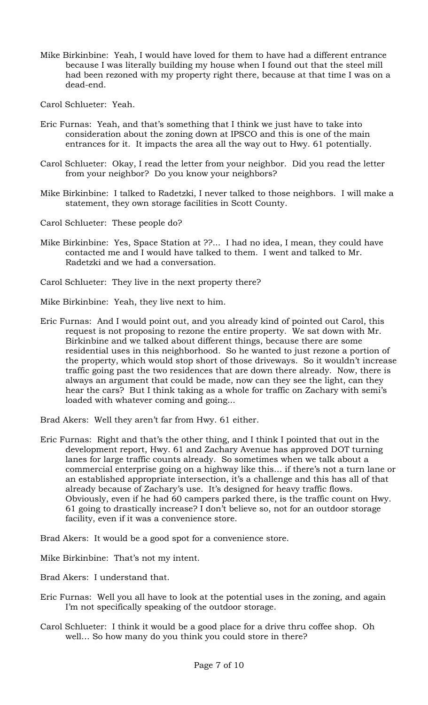- Mike Birkinbine: Yeah, I would have loved for them to have had a different entrance because I was literally building my house when I found out that the steel mill had been rezoned with my property right there, because at that time I was on a dead-end.
- Carol Schlueter: Yeah.
- Eric Furnas: Yeah, and that's something that I think we just have to take into consideration about the zoning down at IPSCO and this is one of the main entrances for it. It impacts the area all the way out to Hwy. 61 potentially.
- Carol Schlueter: Okay, I read the letter from your neighbor. Did you read the letter from your neighbor? Do you know your neighbors?
- Mike Birkinbine: I talked to Radetzki, I never talked to those neighbors. I will make a statement, they own storage facilities in Scott County.
- Carol Schlueter: These people do?
- Mike Birkinbine: Yes, Space Station at ??... I had no idea, I mean, they could have contacted me and I would have talked to them. I went and talked to Mr. Radetzki and we had a conversation.
- Carol Schlueter: They live in the next property there?
- Mike Birkinbine: Yeah, they live next to him.
- Eric Furnas: And I would point out, and you already kind of pointed out Carol, this request is not proposing to rezone the entire property. We sat down with Mr. Birkinbine and we talked about different things, because there are some residential uses in this neighborhood. So he wanted to just rezone a portion of the property, which would stop short of those driveways. So it wouldn't increase traffic going past the two residences that are down there already. Now, there is always an argument that could be made, now can they see the light, can they hear the cars? But I think taking as a whole for traffic on Zachary with semi's loaded with whatever coming and going...
- Brad Akers: Well they aren't far from Hwy. 61 either.
- Eric Furnas: Right and that's the other thing, and I think I pointed that out in the development report, Hwy. 61 and Zachary Avenue has approved DOT turning lanes for large traffic counts already. So sometimes when we talk about a commercial enterprise going on a highway like this… if there's not a turn lane or an established appropriate intersection, it's a challenge and this has all of that already because of Zachary's use. It's designed for heavy traffic flows. Obviously, even if he had 60 campers parked there, is the traffic count on Hwy. 61 going to drastically increase? I don't believe so, not for an outdoor storage facility, even if it was a convenience store.
- Brad Akers: It would be a good spot for a convenience store.
- Mike Birkinbine: That's not my intent.
- Brad Akers: I understand that.
- Eric Furnas: Well you all have to look at the potential uses in the zoning, and again I'm not specifically speaking of the outdoor storage.
- Carol Schlueter: I think it would be a good place for a drive thru coffee shop. Oh well… So how many do you think you could store in there?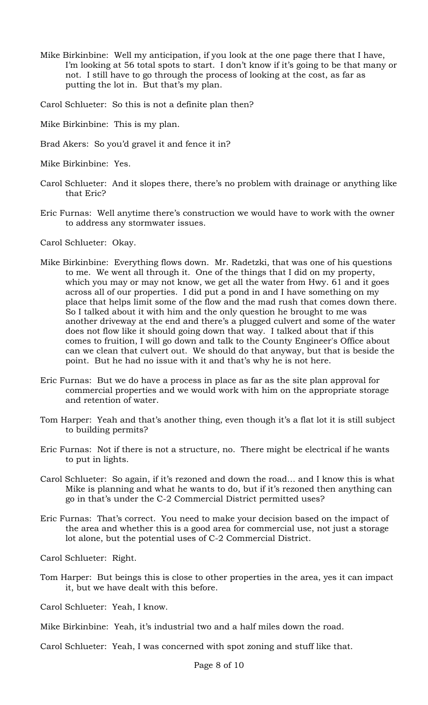Mike Birkinbine: Well my anticipation, if you look at the one page there that I have, I'm looking at 56 total spots to start. I don't know if it's going to be that many or not. I still have to go through the process of looking at the cost, as far as putting the lot in. But that's my plan.

Carol Schlueter: So this is not a definite plan then?

- Mike Birkinbine: This is my plan.
- Brad Akers: So you'd gravel it and fence it in?
- Mike Birkinbine: Yes.
- Carol Schlueter: And it slopes there, there's no problem with drainage or anything like that Eric?
- Eric Furnas: Well anytime there's construction we would have to work with the owner to address any stormwater issues.

Carol Schlueter: Okay.

- Mike Birkinbine: Everything flows down. Mr. Radetzki, that was one of his questions to me. We went all through it. One of the things that I did on my property, which you may or may not know, we get all the water from Hwy. 61 and it goes across all of our properties. I did put a pond in and I have something on my place that helps limit some of the flow and the mad rush that comes down there. So I talked about it with him and the only question he brought to me was another driveway at the end and there's a plugged culvert and some of the water does not flow like it should going down that way. I talked about that if this comes to fruition, I will go down and talk to the County Engineer's Office about can we clean that culvert out. We should do that anyway, but that is beside the point. But he had no issue with it and that's why he is not here.
- Eric Furnas: But we do have a process in place as far as the site plan approval for commercial properties and we would work with him on the appropriate storage and retention of water.
- Tom Harper: Yeah and that's another thing, even though it's a flat lot it is still subject to building permits?
- Eric Furnas: Not if there is not a structure, no. There might be electrical if he wants to put in lights.
- Carol Schlueter: So again, if it's rezoned and down the road… and I know this is what Mike is planning and what he wants to do, but if it's rezoned then anything can go in that's under the C-2 Commercial District permitted uses?
- Eric Furnas: That's correct. You need to make your decision based on the impact of the area and whether this is a good area for commercial use, not just a storage lot alone, but the potential uses of C-2 Commercial District.

Carol Schlueter: Right.

- Tom Harper: But beings this is close to other properties in the area, yes it can impact it, but we have dealt with this before.
- Carol Schlueter: Yeah, I know.
- Mike Birkinbine: Yeah, it's industrial two and a half miles down the road.
- Carol Schlueter: Yeah, I was concerned with spot zoning and stuff like that.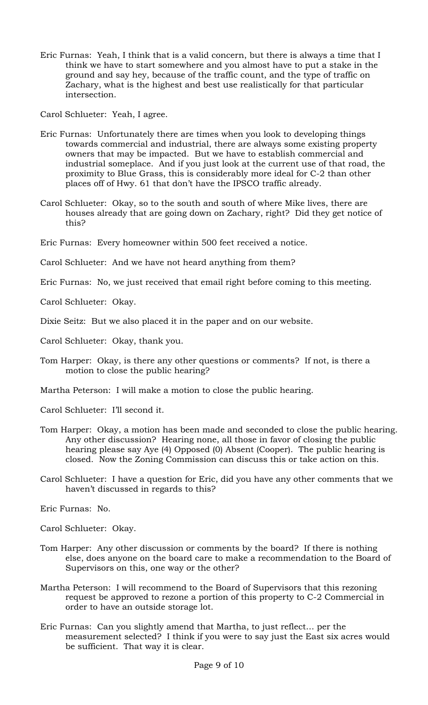Eric Furnas: Yeah, I think that is a valid concern, but there is always a time that I think we have to start somewhere and you almost have to put a stake in the ground and say hey, because of the traffic count, and the type of traffic on Zachary, what is the highest and best use realistically for that particular intersection.

Carol Schlueter: Yeah, I agree.

- Eric Furnas: Unfortunately there are times when you look to developing things towards commercial and industrial, there are always some existing property owners that may be impacted. But we have to establish commercial and industrial someplace. And if you just look at the current use of that road, the proximity to Blue Grass, this is considerably more ideal for C-2 than other places off of Hwy. 61 that don't have the IPSCO traffic already.
- Carol Schlueter: Okay, so to the south and south of where Mike lives, there are houses already that are going down on Zachary, right? Did they get notice of this?
- Eric Furnas: Every homeowner within 500 feet received a notice.

Carol Schlueter: And we have not heard anything from them?

Eric Furnas: No, we just received that email right before coming to this meeting.

Carol Schlueter: Okay.

Dixie Seitz: But we also placed it in the paper and on our website.

- Carol Schlueter: Okay, thank you.
- Tom Harper: Okay, is there any other questions or comments? If not, is there a motion to close the public hearing?

Martha Peterson: I will make a motion to close the public hearing.

Carol Schlueter: I'll second it.

- Tom Harper: Okay, a motion has been made and seconded to close the public hearing. Any other discussion? Hearing none, all those in favor of closing the public hearing please say Aye (4) Opposed (0) Absent (Cooper). The public hearing is closed. Now the Zoning Commission can discuss this or take action on this.
- Carol Schlueter: I have a question for Eric, did you have any other comments that we haven't discussed in regards to this?

Eric Furnas: No.

Carol Schlueter: Okay.

- Tom Harper: Any other discussion or comments by the board? If there is nothing else, does anyone on the board care to make a recommendation to the Board of Supervisors on this, one way or the other?
- Martha Peterson: I will recommend to the Board of Supervisors that this rezoning request be approved to rezone a portion of this property to C-2 Commercial in order to have an outside storage lot.
- Eric Furnas: Can you slightly amend that Martha, to just reflect… per the measurement selected? I think if you were to say just the East six acres would be sufficient. That way it is clear.